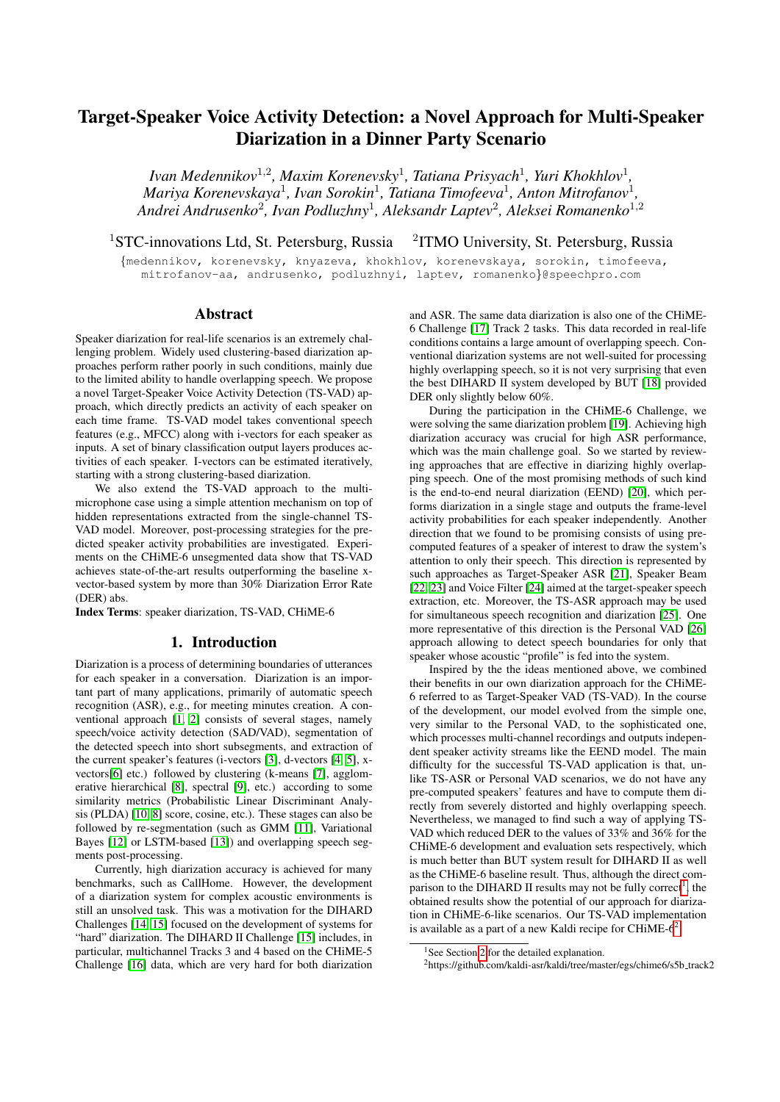# Target-Speaker Voice Activity Detection: a Novel Approach for Multi-Speaker Diarization in a Dinner Party Scenario

*Ivan Medennikov*<sup>1</sup>,<sup>2</sup> *, Maxim Korenevsky*<sup>1</sup> *, Tatiana Prisyach*<sup>1</sup> *, Yuri Khokhlov*<sup>1</sup> *, Mariya Korenevskaya*<sup>1</sup> *, Ivan Sorokin*<sup>1</sup> *, Tatiana Timofeeva*<sup>1</sup> *, Anton Mitrofanov*<sup>1</sup> *, Andrei Andrusenko*<sup>2</sup> *, Ivan Podluzhny*<sup>1</sup> *, Aleksandr Laptev*<sup>2</sup> *, Aleksei Romanenko*<sup>1</sup>,<sup>2</sup>

<sup>1</sup>STC-innovations Ltd, St. Petersburg, Russia <sup>2</sup>ITMO University, St. Petersburg, Russia

{medennikov, korenevsky, knyazeva, khokhlov, korenevskaya, sorokin, timofeeva, mitrofanov-aa, andrusenko, podluzhnyi, laptev, romanenko}@speechpro.com

# Abstract

Speaker diarization for real-life scenarios is an extremely challenging problem. Widely used clustering-based diarization approaches perform rather poorly in such conditions, mainly due to the limited ability to handle overlapping speech. We propose a novel Target-Speaker Voice Activity Detection (TS-VAD) approach, which directly predicts an activity of each speaker on each time frame. TS-VAD model takes conventional speech features (e.g., MFCC) along with i-vectors for each speaker as inputs. A set of binary classification output layers produces activities of each speaker. I-vectors can be estimated iteratively, starting with a strong clustering-based diarization.

We also extend the TS-VAD approach to the multimicrophone case using a simple attention mechanism on top of hidden representations extracted from the single-channel TS-VAD model. Moreover, post-processing strategies for the predicted speaker activity probabilities are investigated. Experiments on the CHiME-6 unsegmented data show that TS-VAD achieves state-of-the-art results outperforming the baseline xvector-based system by more than 30% Diarization Error Rate (DER) abs.

Index Terms: speaker diarization, TS-VAD, CHiME-6

### 1. Introduction

Diarization is a process of determining boundaries of utterances for each speaker in a conversation. Diarization is an important part of many applications, primarily of automatic speech recognition (ASR), e.g., for meeting minutes creation. A conventional approach [\[1,](#page-4-0) [2\]](#page-4-1) consists of several stages, namely speech/voice activity detection (SAD/VAD), segmentation of the detected speech into short subsegments, and extraction of the current speaker's features (i-vectors [\[3\]](#page-4-2), d-vectors [\[4,](#page-4-3) [5\]](#page-4-4), xvectors[\[6\]](#page-4-5) etc.) followed by clustering (k-means [\[7\]](#page-4-6), agglomerative hierarchical [\[8\]](#page-4-7), spectral [\[9\]](#page-4-8), etc.) according to some similarity metrics (Probabilistic Linear Discriminant Analysis (PLDA) [\[10,](#page-4-9) [8\]](#page-4-7) score, cosine, etc.). These stages can also be followed by re-segmentation (such as GMM [\[11\]](#page-4-10), Variational Bayes [\[12\]](#page-4-11) or LSTM-based [\[13\]](#page-4-12)) and overlapping speech segments post-processing.

Currently, high diarization accuracy is achieved for many benchmarks, such as CallHome. However, the development of a diarization system for complex acoustic environments is still an unsolved task. This was a motivation for the DIHARD Challenges [\[14,](#page-4-13) [15\]](#page-4-14) focused on the development of systems for "hard" diarization. The DIHARD II Challenge [\[15\]](#page-4-14) includes, in particular, multichannel Tracks 3 and 4 based on the CHiME-5 Challenge [\[16\]](#page-4-15) data, which are very hard for both diarization

and ASR. The same data diarization is also one of the CHiME-6 Challenge [\[17\]](#page-4-16) Track 2 tasks. This data recorded in real-life conditions contains a large amount of overlapping speech. Conventional diarization systems are not well-suited for processing highly overlapping speech, so it is not very surprising that even the best DIHARD II system developed by BUT [\[18\]](#page-4-17) provided DER only slightly below 60%.

During the participation in the CHiME-6 Challenge, we were solving the same diarization problem [\[19\]](#page-4-18). Achieving high diarization accuracy was crucial for high ASR performance, which was the main challenge goal. So we started by reviewing approaches that are effective in diarizing highly overlapping speech. One of the most promising methods of such kind is the end-to-end neural diarization (EEND) [\[20\]](#page-4-19), which performs diarization in a single stage and outputs the frame-level activity probabilities for each speaker independently. Another direction that we found to be promising consists of using precomputed features of a speaker of interest to draw the system's attention to only their speech. This direction is represented by such approaches as Target-Speaker ASR [\[21\]](#page-4-20), Speaker Beam [\[22,](#page-4-21) [23\]](#page-4-22) and Voice Filter [\[24\]](#page-4-23) aimed at the target-speaker speech extraction, etc. Moreover, the TS-ASR approach may be used for simultaneous speech recognition and diarization [\[25\]](#page-4-24). One more representative of this direction is the Personal VAD [\[26\]](#page-4-25) approach allowing to detect speech boundaries for only that speaker whose acoustic "profile" is fed into the system.

Inspired by the the ideas mentioned above, we combined their benefits in our own diarization approach for the CHiME-6 referred to as Target-Speaker VAD (TS-VAD). In the course of the development, our model evolved from the simple one, very similar to the Personal VAD, to the sophisticated one, which processes multi-channel recordings and outputs independent speaker activity streams like the EEND model. The main difficulty for the successful TS-VAD application is that, unlike TS-ASR or Personal VAD scenarios, we do not have any pre-computed speakers' features and have to compute them directly from severely distorted and highly overlapping speech. Nevertheless, we managed to find such a way of applying TS-VAD which reduced DER to the values of 33% and 36% for the CHiME-6 development and evaluation sets respectively, which is much better than BUT system result for DIHARD II as well as the CHiME-6 baseline result. Thus, although the direct com-parison to the DIHARD II results may not be fully correct<sup>[1](#page-0-0)</sup>, the obtained results show the potential of our approach for diarization in CHiME-6-like scenarios. Our TS-VAD implementation is available as a part of a new Kaldi recipe for CHiME- $6^2$  $6^2$ .

<span id="page-0-1"></span> $2$ https://github.com/kaldi-asr/kaldi/tree/master/egs/chime6/s5b\_track2

<span id="page-0-0"></span><sup>&</sup>lt;sup>1</sup>See Section [2](#page-1-0) for the detailed explanation.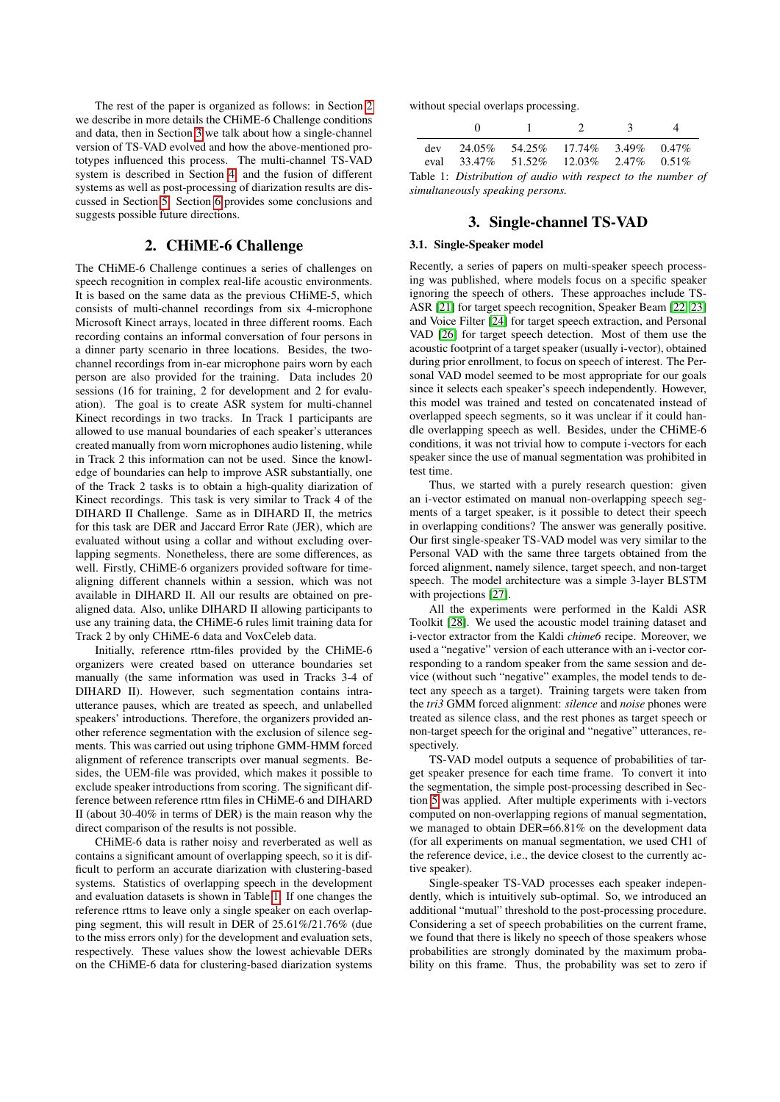The rest of the paper is organized as follows: in Section [2](#page-1-0) we describe in more details the CHiME-6 Challenge conditions and data, then in Section [3](#page-1-1) we talk about how a single-channel version of TS-VAD evolved and how the above-mentioned prototypes influenced this process. The multi-channel TS-VAD system is described in Section [4,](#page-3-0) and the fusion of different systems as well as post-processing of diarization results are discussed in Section [5.](#page-3-1) Section [6](#page-3-2) provides some conclusions and suggests possible future directions.

## 2. CHiME-6 Challenge

<span id="page-1-0"></span>The CHiME-6 Challenge continues a series of challenges on speech recognition in complex real-life acoustic environments. It is based on the same data as the previous CHiME-5, which consists of multi-channel recordings from six 4-microphone Microsoft Kinect arrays, located in three different rooms. Each recording contains an informal conversation of four persons in a dinner party scenario in three locations. Besides, the twochannel recordings from in-ear microphone pairs worn by each person are also provided for the training. Data includes 20 sessions (16 for training, 2 for development and 2 for evaluation). The goal is to create ASR system for multi-channel Kinect recordings in two tracks. In Track 1 participants are allowed to use manual boundaries of each speaker's utterances created manually from worn microphones audio listening, while in Track 2 this information can not be used. Since the knowledge of boundaries can help to improve ASR substantially, one of the Track 2 tasks is to obtain a high-quality diarization of Kinect recordings. This task is very similar to Track 4 of the DIHARD II Challenge. Same as in DIHARD II, the metrics for this task are DER and Jaccard Error Rate (JER), which are evaluated without using a collar and without excluding overlapping segments. Nonetheless, there are some differences, as well. Firstly, CHiME-6 organizers provided software for timealigning different channels within a session, which was not available in DIHARD II. All our results are obtained on prealigned data. Also, unlike DIHARD II allowing participants to use any training data, the CHiME-6 rules limit training data for Track 2 by only CHiME-6 data and VoxCeleb data.

Initially, reference rttm-files provided by the CHiME-6 organizers were created based on utterance boundaries set manually (the same information was used in Tracks 3-4 of DIHARD II). However, such segmentation contains intrautterance pauses, which are treated as speech, and unlabelled speakers' introductions. Therefore, the organizers provided another reference segmentation with the exclusion of silence segments. This was carried out using triphone GMM-HMM forced alignment of reference transcripts over manual segments. Besides, the UEM-file was provided, which makes it possible to exclude speaker introductions from scoring. The significant difference between reference rttm files in CHiME-6 and DIHARD II (about 30-40% in terms of DER) is the main reason why the direct comparison of the results is not possible.

CHiME-6 data is rather noisy and reverberated as well as contains a significant amount of overlapping speech, so it is difficult to perform an accurate diarization with clustering-based systems. Statistics of overlapping speech in the development and evaluation datasets is shown in Table [1.](#page-1-2) If one changes the reference rttms to leave only a single speaker on each overlapping segment, this will result in DER of 25.61%/21.76% (due to the miss errors only) for the development and evaluation sets, respectively. These values show the lowest achievable DERs on the CHiME-6 data for clustering-based diarization systems without special overlaps processing.

<span id="page-1-2"></span>

| $\Omega$                                             | $\mathcal{D}$ | $\mathcal{R}$ | $\Delta$                                                     |
|------------------------------------------------------|---------------|---------------|--------------------------------------------------------------|
| dev $24.05\%$ 54.25% 17.74% 3.49% 0.47%              |               |               |                                                              |
| eval $33.47\%$ $51.52\%$ $12.03\%$ $2.47\%$ $0.51\%$ |               |               |                                                              |
|                                                      |               |               | Table 1: Distribution of audio with respect to the number of |

# 3. Single-channel TS-VAD

#### 3.1. Single-Speaker model

<span id="page-1-1"></span>*simultaneously speaking persons.*

Recently, a series of papers on multi-speaker speech processing was published, where models focus on a specific speaker ignoring the speech of others. These approaches include TS-ASR [\[21\]](#page-4-20) for target speech recognition, Speaker Beam [\[22,](#page-4-21) [23\]](#page-4-22) and Voice Filter [\[24\]](#page-4-23) for target speech extraction, and Personal VAD [\[26\]](#page-4-25) for target speech detection. Most of them use the acoustic footprint of a target speaker (usually i-vector), obtained during prior enrollment, to focus on speech of interest. The Personal VAD model seemed to be most appropriate for our goals since it selects each speaker's speech independently. However, this model was trained and tested on concatenated instead of overlapped speech segments, so it was unclear if it could handle overlapping speech as well. Besides, under the CHiME-6 conditions, it was not trivial how to compute i-vectors for each speaker since the use of manual segmentation was prohibited in test time.

Thus, we started with a purely research question: given an i-vector estimated on manual non-overlapping speech segments of a target speaker, is it possible to detect their speech in overlapping conditions? The answer was generally positive. Our first single-speaker TS-VAD model was very similar to the Personal VAD with the same three targets obtained from the forced alignment, namely silence, target speech, and non-target speech. The model architecture was a simple 3-layer BLSTM with projections [\[27\]](#page-4-26).

All the experiments were performed in the Kaldi ASR Toolkit [\[28\]](#page-4-27). We used the acoustic model training dataset and i-vector extractor from the Kaldi *chime6* recipe. Moreover, we used a "negative" version of each utterance with an i-vector corresponding to a random speaker from the same session and device (without such "negative" examples, the model tends to detect any speech as a target). Training targets were taken from the *tri3* GMM forced alignment: *silence* and *noise* phones were treated as silence class, and the rest phones as target speech or non-target speech for the original and "negative" utterances, respectively.

TS-VAD model outputs a sequence of probabilities of target speaker presence for each time frame. To convert it into the segmentation, the simple post-processing described in Section [5](#page-3-1) was applied. After multiple experiments with i-vectors computed on non-overlapping regions of manual segmentation, we managed to obtain DER=66.81% on the development data (for all experiments on manual segmentation, we used CH1 of the reference device, i.e., the device closest to the currently active speaker).

Single-speaker TS-VAD processes each speaker independently, which is intuitively sub-optimal. So, we introduced an additional "mutual" threshold to the post-processing procedure. Considering a set of speech probabilities on the current frame, we found that there is likely no speech of those speakers whose probabilities are strongly dominated by the maximum probability on this frame. Thus, the probability was set to zero if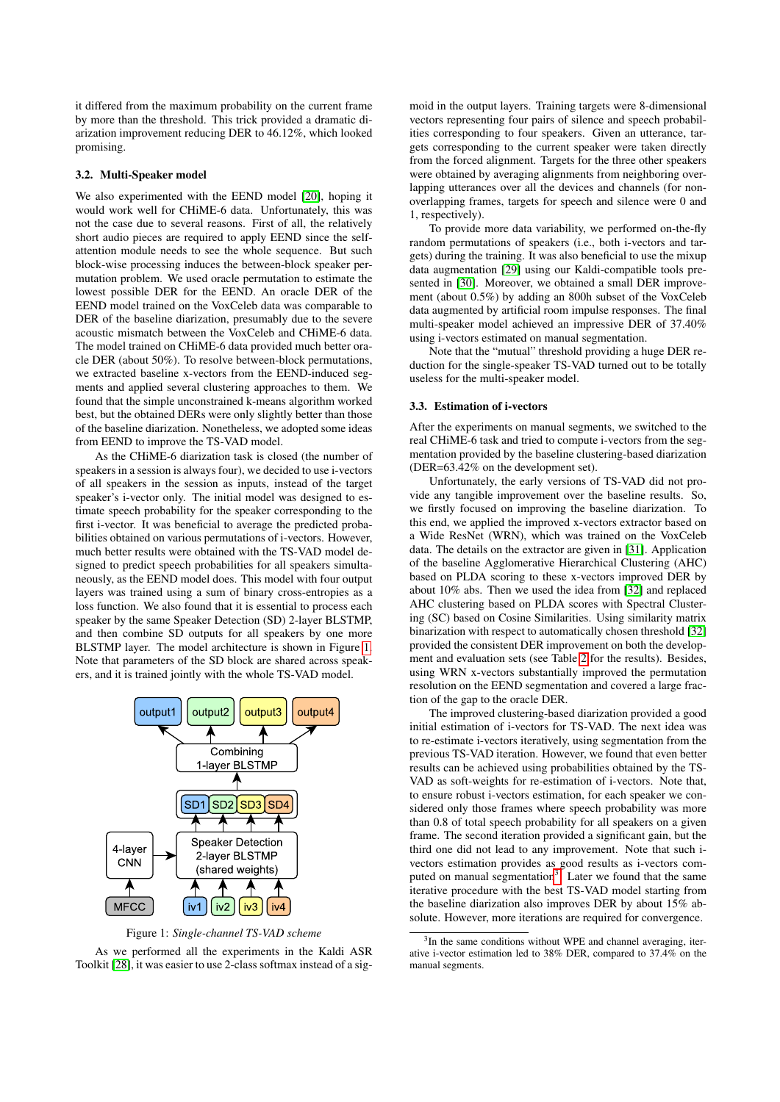it differed from the maximum probability on the current frame by more than the threshold. This trick provided a dramatic diarization improvement reducing DER to 46.12%, which looked promising.

#### 3.2. Multi-Speaker model

We also experimented with the EEND model [\[20\]](#page-4-19), hoping it would work well for CHiME-6 data. Unfortunately, this was not the case due to several reasons. First of all, the relatively short audio pieces are required to apply EEND since the selfattention module needs to see the whole sequence. But such block-wise processing induces the between-block speaker permutation problem. We used oracle permutation to estimate the lowest possible DER for the EEND. An oracle DER of the EEND model trained on the VoxCeleb data was comparable to DER of the baseline diarization, presumably due to the severe acoustic mismatch between the VoxCeleb and CHiME-6 data. The model trained on CHiME-6 data provided much better oracle DER (about 50%). To resolve between-block permutations, we extracted baseline x-vectors from the EEND-induced segments and applied several clustering approaches to them. We found that the simple unconstrained k-means algorithm worked best, but the obtained DERs were only slightly better than those of the baseline diarization. Nonetheless, we adopted some ideas from EEND to improve the TS-VAD model.

As the CHiME-6 diarization task is closed (the number of speakers in a session is always four), we decided to use i-vectors of all speakers in the session as inputs, instead of the target speaker's i-vector only. The initial model was designed to estimate speech probability for the speaker corresponding to the first i-vector. It was beneficial to average the predicted probabilities obtained on various permutations of i-vectors. However, much better results were obtained with the TS-VAD model designed to predict speech probabilities for all speakers simultaneously, as the EEND model does. This model with four output layers was trained using a sum of binary cross-entropies as a loss function. We also found that it is essential to process each speaker by the same Speaker Detection (SD) 2-layer BLSTMP, and then combine SD outputs for all speakers by one more BLSTMP layer. The model architecture is shown in Figure [1.](#page-2-0) Note that parameters of the SD block are shared across speakers, and it is trained jointly with the whole TS-VAD model.

<span id="page-2-0"></span>

Figure 1: *Single-channel TS-VAD scheme*

As we performed all the experiments in the Kaldi ASR Toolkit [\[28\]](#page-4-27), it was easier to use 2-class softmax instead of a sig-

moid in the output layers. Training targets were 8-dimensional vectors representing four pairs of silence and speech probabilities corresponding to four speakers. Given an utterance, targets corresponding to the current speaker were taken directly from the forced alignment. Targets for the three other speakers were obtained by averaging alignments from neighboring overlapping utterances over all the devices and channels (for nonoverlapping frames, targets for speech and silence were 0 and 1, respectively).

To provide more data variability, we performed on-the-fly random permutations of speakers (i.e., both i-vectors and targets) during the training. It was also beneficial to use the mixup data augmentation [\[29\]](#page-4-28) using our Kaldi-compatible tools presented in [\[30\]](#page-4-29). Moreover, we obtained a small DER improvement (about 0.5%) by adding an 800h subset of the VoxCeleb data augmented by artificial room impulse responses. The final multi-speaker model achieved an impressive DER of 37.40% using i-vectors estimated on manual segmentation.

Note that the "mutual" threshold providing a huge DER reduction for the single-speaker TS-VAD turned out to be totally useless for the multi-speaker model.

#### 3.3. Estimation of i-vectors

After the experiments on manual segments, we switched to the real CHiME-6 task and tried to compute i-vectors from the segmentation provided by the baseline clustering-based diarization (DER=63.42% on the development set).

Unfortunately, the early versions of TS-VAD did not provide any tangible improvement over the baseline results. So, we firstly focused on improving the baseline diarization. To this end, we applied the improved x-vectors extractor based on a Wide ResNet (WRN), which was trained on the VoxCeleb data. The details on the extractor are given in [\[31\]](#page-4-30). Application of the baseline Agglomerative Hierarchical Clustering (AHC) based on PLDA scoring to these x-vectors improved DER by about 10% abs. Then we used the idea from [\[32\]](#page-4-31) and replaced AHC clustering based on PLDA scores with Spectral Clustering (SC) based on Cosine Similarities. Using similarity matrix binarization with respect to automatically chosen threshold [\[32\]](#page-4-31) provided the consistent DER improvement on both the development and evaluation sets (see Table [2](#page-3-3) for the results). Besides, using WRN x-vectors substantially improved the permutation resolution on the EEND segmentation and covered a large fraction of the gap to the oracle DER.

The improved clustering-based diarization provided a good initial estimation of i-vectors for TS-VAD. The next idea was to re-estimate i-vectors iteratively, using segmentation from the previous TS-VAD iteration. However, we found that even better results can be achieved using probabilities obtained by the TS-VAD as soft-weights for re-estimation of i-vectors. Note that, to ensure robust i-vectors estimation, for each speaker we considered only those frames where speech probability was more than 0.8 of total speech probability for all speakers on a given frame. The second iteration provided a significant gain, but the third one did not lead to any improvement. Note that such ivectors estimation provides as good results as i-vectors com-puted on manual segmentation<sup>[3](#page-2-1)</sup>. Later we found that the same iterative procedure with the best TS-VAD model starting from the baseline diarization also improves DER by about 15% absolute. However, more iterations are required for convergence.

<span id="page-2-1"></span><sup>&</sup>lt;sup>3</sup>In the same conditions without WPE and channel averaging, iterative i-vector estimation led to 38% DER, compared to 37.4% on the manual segments.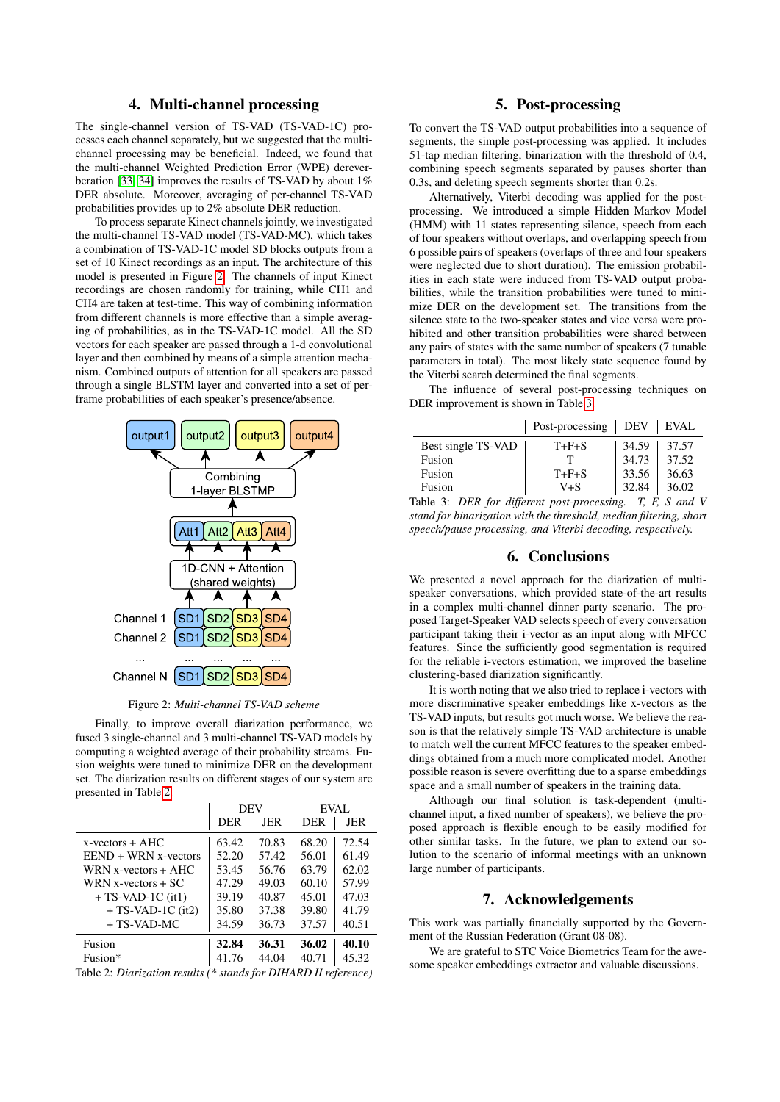# 4. Multi-channel processing

<span id="page-3-0"></span>The single-channel version of TS-VAD (TS-VAD-1C) processes each channel separately, but we suggested that the multichannel processing may be beneficial. Indeed, we found that the multi-channel Weighted Prediction Error (WPE) dereverberation [\[33,](#page-4-32) [34\]](#page-4-33) improves the results of TS-VAD by about 1% DER absolute. Moreover, averaging of per-channel TS-VAD probabilities provides up to 2% absolute DER reduction.

To process separate Kinect channels jointly, we investigated the multi-channel TS-VAD model (TS-VAD-MC), which takes a combination of TS-VAD-1C model SD blocks outputs from a set of 10 Kinect recordings as an input. The architecture of this model is presented in Figure [2.](#page-3-4) The channels of input Kinect recordings are chosen randomly for training, while CH1 and CH4 are taken at test-time. This way of combining information from different channels is more effective than a simple averaging of probabilities, as in the TS-VAD-1C model. All the SD vectors for each speaker are passed through a 1-d convolutional layer and then combined by means of a simple attention mechanism. Combined outputs of attention for all speakers are passed through a single BLSTM layer and converted into a set of perframe probabilities of each speaker's presence/absence.

<span id="page-3-4"></span>

Figure 2: *Multi-channel TS-VAD scheme*

Finally, to improve overall diarization performance, we fused 3 single-channel and 3 multi-channel TS-VAD models by computing a weighted average of their probability streams. Fusion weights were tuned to minimize DER on the development set. The diarization results on different stages of our system are presented in Table [2.](#page-3-3)

<span id="page-3-3"></span>

|                          | DEV        |       | EVAL.      |       |
|--------------------------|------------|-------|------------|-------|
|                          | <b>DER</b> | JER   | <b>DER</b> | JER   |
| $x$ -vectors + AHC       | 63.42      | 70.83 | 68.20      | 72.54 |
| $EEND + WRN x - vectors$ | 52.20      | 57.42 | 56.01      | 61.49 |
| WRN x-vectors $+$ AHC    | 53.45      | 56.76 | 63.79      | 62.02 |
| WRN x-vectors $+$ SC     | 47.29      | 49.03 | 60.10      | 57.99 |
| $+ TS- VAD-1C$ (it1)     | 39.19      | 40.87 | 45.01      | 47.03 |
| $+ TS- VAD-1C$ (it2)     | 35.80      | 37.38 | 39.80      | 41.79 |
| + TS-VAD-MC              | 34.59      | 36.73 | 37.57      | 40.51 |
| Fusion                   | 32.84      | 36.31 | 36.02      | 40.10 |
| Fusion*                  | 41.76      | 44.04 | 40.71      | 45.32 |

Table 2: *Diarization results (\* stands for DIHARD II reference)*

# 5. Post-processing

<span id="page-3-1"></span>To convert the TS-VAD output probabilities into a sequence of segments, the simple post-processing was applied. It includes 51-tap median filtering, binarization with the threshold of 0.4, combining speech segments separated by pauses shorter than 0.3s, and deleting speech segments shorter than 0.2s.

Alternatively, Viterbi decoding was applied for the postprocessing. We introduced a simple Hidden Markov Model (HMM) with 11 states representing silence, speech from each of four speakers without overlaps, and overlapping speech from 6 possible pairs of speakers (overlaps of three and four speakers were neglected due to short duration). The emission probabilities in each state were induced from TS-VAD output probabilities, while the transition probabilities were tuned to minimize DER on the development set. The transitions from the silence state to the two-speaker states and vice versa were prohibited and other transition probabilities were shared between any pairs of states with the same number of speakers (7 tunable parameters in total). The most likely state sequence found by the Viterbi search determined the final segments.

The influence of several post-processing techniques on DER improvement is shown in Table [3.](#page-3-5)

<span id="page-3-5"></span>

|                    | Post-processing   DEV |       | EVAL  |
|--------------------|-----------------------|-------|-------|
| Best single TS-VAD | $T + F + S$           | 34.59 | 37.57 |
| Fusion             |                       | 34.73 | 37.52 |
| Fusion             | $T + F + S$           | 33.56 | 36.63 |
| Fusion             | V+S                   | 32.84 | 36.02 |

Table 3: *DER for different post-processing. T, F, S and V stand for binarization with the threshold, median filtering, short speech/pause processing, and Viterbi decoding, respectively.*

### 6. Conclusions

<span id="page-3-2"></span>We presented a novel approach for the diarization of multispeaker conversations, which provided state-of-the-art results in a complex multi-channel dinner party scenario. The proposed Target-Speaker VAD selects speech of every conversation participant taking their i-vector as an input along with MFCC features. Since the sufficiently good segmentation is required for the reliable i-vectors estimation, we improved the baseline clustering-based diarization significantly.

It is worth noting that we also tried to replace i-vectors with more discriminative speaker embeddings like x-vectors as the TS-VAD inputs, but results got much worse. We believe the reason is that the relatively simple TS-VAD architecture is unable to match well the current MFCC features to the speaker embeddings obtained from a much more complicated model. Another possible reason is severe overfitting due to a sparse embeddings space and a small number of speakers in the training data.

Although our final solution is task-dependent (multichannel input, a fixed number of speakers), we believe the proposed approach is flexible enough to be easily modified for other similar tasks. In the future, we plan to extend our solution to the scenario of informal meetings with an unknown large number of participants.

## 7. Acknowledgements

This work was partially financially supported by the Government of the Russian Federation (Grant 08-08).

We are grateful to STC Voice Biometrics Team for the awesome speaker embeddings extractor and valuable discussions.